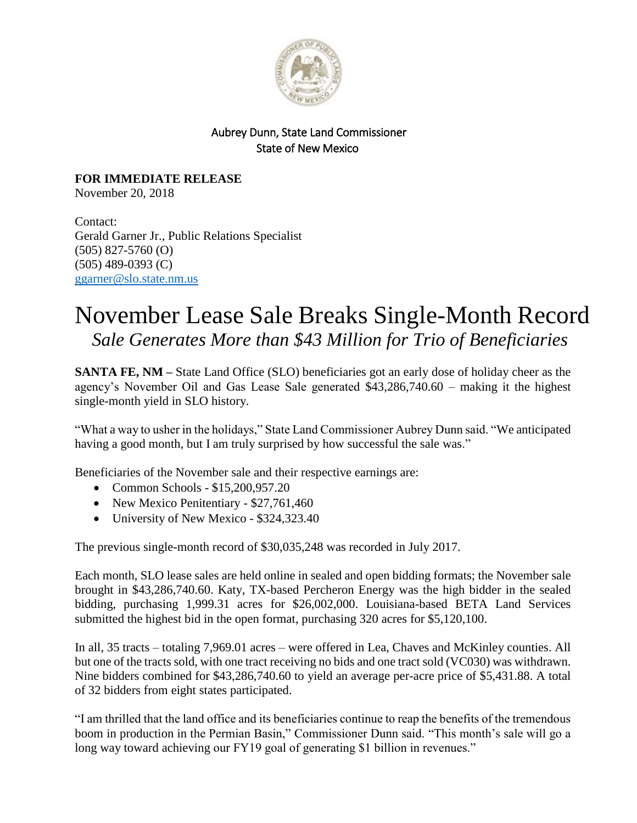

## Aubrey Dunn, State Land Commissioner State of New Mexico

**FOR IMMEDIATE RELEASE** November 20, 2018

Contact: Gerald Garner Jr., Public Relations Specialist (505) 827-5760 (O) (505) 489-0393 (C) [ggarner@slo.state.nm.us](mailto:ggarner@slo.state.nm.us)

## November Lease Sale Breaks Single-Month Record *Sale Generates More than \$43 Million for Trio of Beneficiaries*

**SANTA FE, NM** – State Land Office (SLO) beneficiaries got an early dose of holiday cheer as the agency's November Oil and Gas Lease Sale generated \$43,286,740.60 – making it the highest single-month yield in SLO history.

"What a way to usher in the holidays," State Land Commissioner Aubrey Dunn said. "We anticipated having a good month, but I am truly surprised by how successful the sale was."

Beneficiaries of the November sale and their respective earnings are:

- Common Schools \$15,200,957.20
- New Mexico Penitentiary \$27,761,460
- University of New Mexico \$324,323.40

The previous single-month record of \$30,035,248 was recorded in July 2017.

Each month, SLO lease sales are held online in sealed and open bidding formats; the November sale brought in \$43,286,740.60. Katy, TX-based Percheron Energy was the high bidder in the sealed bidding, purchasing 1,999.31 acres for \$26,002,000. Louisiana-based BETA Land Services submitted the highest bid in the open format, purchasing 320 acres for \$5,120,100.

In all, 35 tracts – totaling 7,969.01 acres – were offered in Lea, Chaves and McKinley counties. All but one of the tracts sold, with one tract receiving no bids and one tract sold (VC030) was withdrawn. Nine bidders combined for \$43,286,740.60 to yield an average per-acre price of \$5,431.88. A total of 32 bidders from eight states participated.

"I am thrilled that the land office and its beneficiaries continue to reap the benefits of the tremendous boom in production in the Permian Basin," Commissioner Dunn said. "This month's sale will go a long way toward achieving our FY19 goal of generating \$1 billion in revenues."